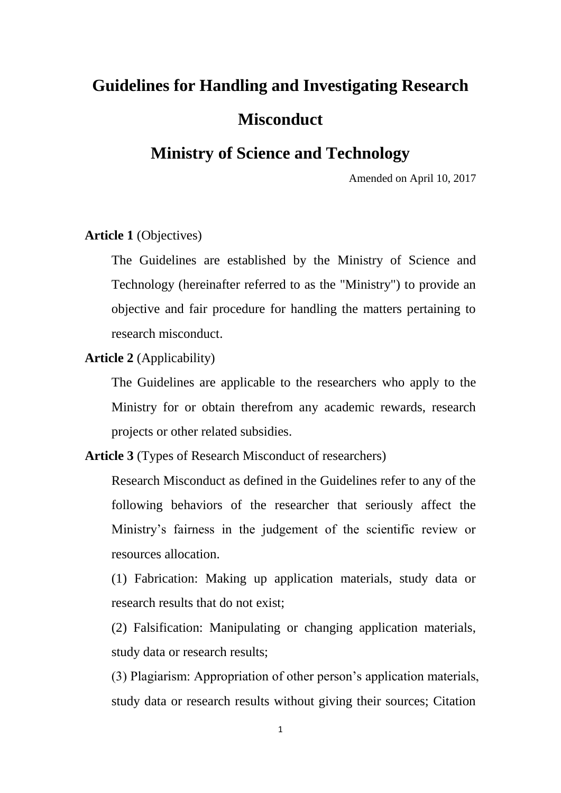# **Guidelines for Handling and Investigating Research Misconduct**

# **Ministry of Science and Technology**

Amended on April 10, 2017

## **Article 1** (Objectives)

The Guidelines are established by the Ministry of Science and Technology (hereinafter referred to as the "Ministry") to provide an objective and fair procedure for handling the matters pertaining to research misconduct.

#### **Article 2** (Applicability)

The Guidelines are applicable to the researchers who apply to the Ministry for or obtain therefrom any academic rewards, research projects or other related subsidies.

### **Article 3** (Types of Research Misconduct of researchers)

Research Misconduct as defined in the Guidelines refer to any of the following behaviors of the researcher that seriously affect the Ministry's fairness in the judgement of the scientific review or resources allocation.

(1) Fabrication: Making up application materials, study data or research results that do not exist;

(2) Falsification: Manipulating or changing application materials, study data or research results;

(3) Plagiarism: Appropriation of other person's application materials, study data or research results without giving their sources; Citation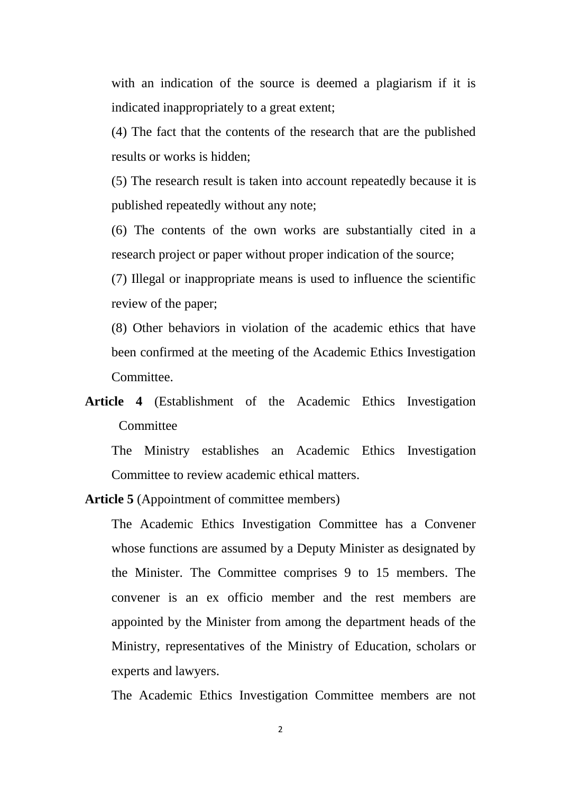with an indication of the source is deemed a plagiarism if it is indicated inappropriately to a great extent;

(4) The fact that the contents of the research that are the published results or works is hidden;

(5) The research result is taken into account repeatedly because it is published repeatedly without any note;

(6) The contents of the own works are substantially cited in a research project or paper without proper indication of the source;

(7) Illegal or inappropriate means is used to influence the scientific review of the paper;

(8) Other behaviors in violation of the academic ethics that have been confirmed at the meeting of the Academic Ethics Investigation Committee.

**Article 4** (Establishment of the Academic Ethics Investigation **Committee** 

The Ministry establishes an Academic Ethics Investigation Committee to review academic ethical matters.

**Article 5** (Appointment of committee members)

The Academic Ethics Investigation Committee has a Convener whose functions are assumed by a Deputy Minister as designated by the Minister. The Committee comprises 9 to 15 members. The convener is an ex officio member and the rest members are appointed by the Minister from among the department heads of the Ministry, representatives of the Ministry of Education, scholars or experts and lawyers.

The Academic Ethics Investigation Committee members are not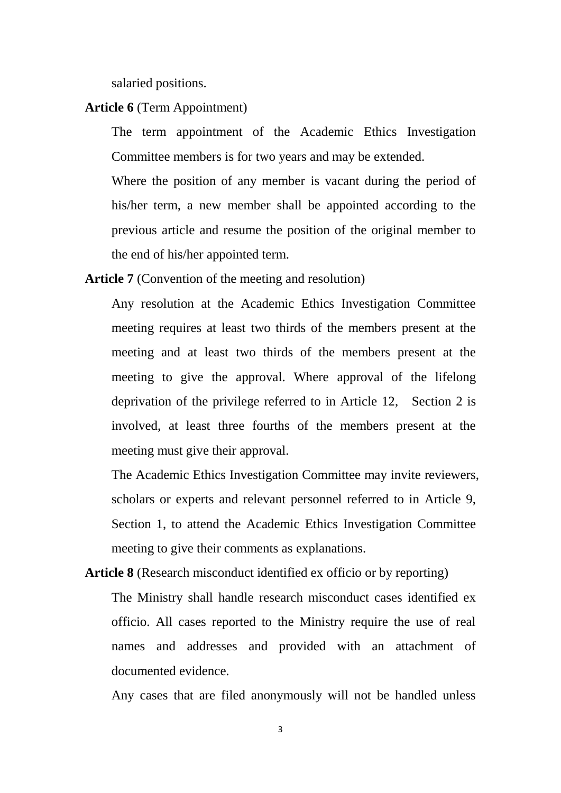salaried positions.

# **Article 6** (Term Appointment)

The term appointment of the Academic Ethics Investigation Committee members is for two years and may be extended.

Where the position of any member is vacant during the period of his/her term, a new member shall be appointed according to the previous article and resume the position of the original member to the end of his/her appointed term.

**Article 7** (Convention of the meeting and resolution)

Any resolution at the Academic Ethics Investigation Committee meeting requires at least two thirds of the members present at the meeting and at least two thirds of the members present at the meeting to give the approval. Where approval of the lifelong deprivation of the privilege referred to in Article 12, Section 2 is involved, at least three fourths of the members present at the meeting must give their approval.

The Academic Ethics Investigation Committee may invite reviewers, scholars or experts and relevant personnel referred to in Article 9, Section 1, to attend the Academic Ethics Investigation Committee meeting to give their comments as explanations.

**Article 8** (Research misconduct identified ex officio or by reporting) The Ministry shall handle research misconduct cases identified ex officio. All cases reported to the Ministry require the use of real names and addresses and provided with an attachment of documented evidence.

Any cases that are filed anonymously will not be handled unless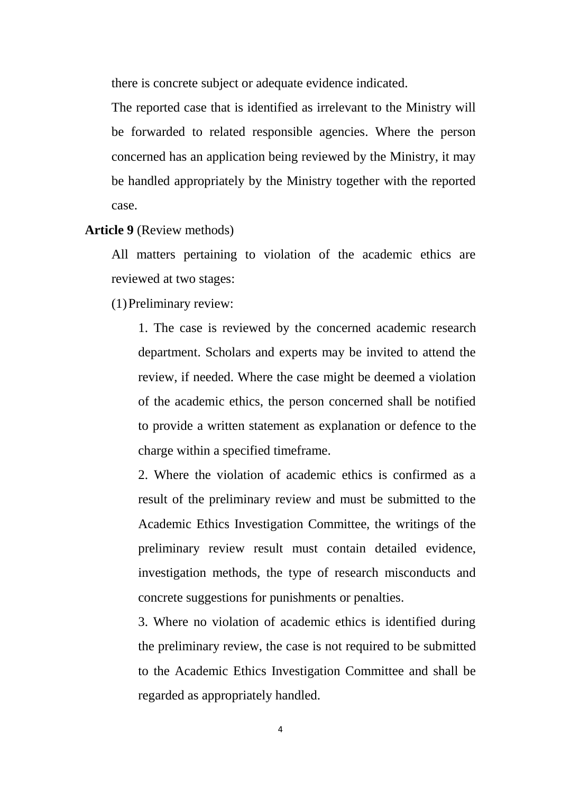there is concrete subject or adequate evidence indicated.

The reported case that is identified as irrelevant to the Ministry will be forwarded to related responsible agencies. Where the person concerned has an application being reviewed by the Ministry, it may be handled appropriately by the Ministry together with the reported case.

#### **Article 9** (Review methods)

All matters pertaining to violation of the academic ethics are reviewed at two stages:

(1)Preliminary review:

1. The case is reviewed by the concerned academic research department. Scholars and experts may be invited to attend the review, if needed. Where the case might be deemed a violation of the academic ethics, the person concerned shall be notified to provide a written statement as explanation or defence to the charge within a specified timeframe.

2. Where the violation of academic ethics is confirmed as a result of the preliminary review and must be submitted to the Academic Ethics Investigation Committee, the writings of the preliminary review result must contain detailed evidence, investigation methods, the type of research misconducts and concrete suggestions for punishments or penalties.

3. Where no violation of academic ethics is identified during the preliminary review, the case is not required to be submitted to the Academic Ethics Investigation Committee and shall be regarded as appropriately handled.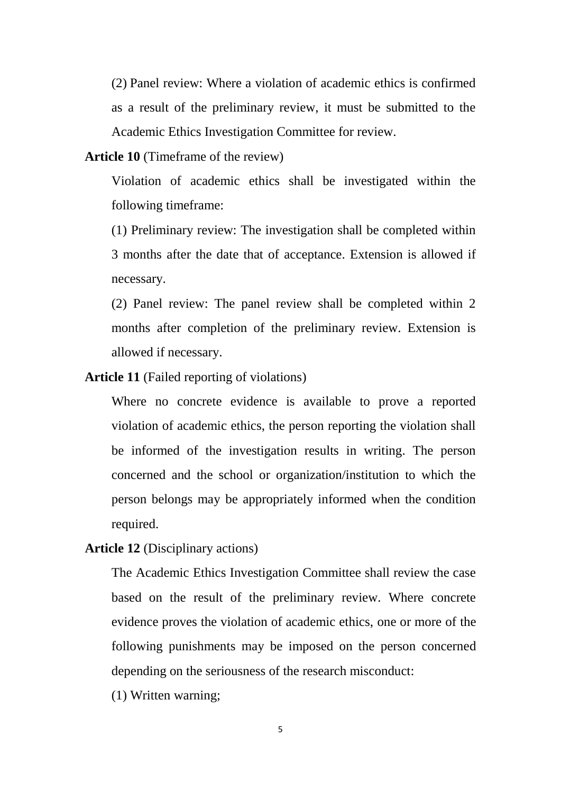(2) Panel review: Where a violation of academic ethics is confirmed as a result of the preliminary review, it must be submitted to the Academic Ethics Investigation Committee for review.

**Article 10** (Timeframe of the review)

Violation of academic ethics shall be investigated within the following timeframe:

(1) Preliminary review: The investigation shall be completed within 3 months after the date that of acceptance. Extension is allowed if necessary.

(2) Panel review: The panel review shall be completed within 2 months after completion of the preliminary review. Extension is allowed if necessary.

**Article 11** (Failed reporting of violations)

Where no concrete evidence is available to prove a reported violation of academic ethics, the person reporting the violation shall be informed of the investigation results in writing. The person concerned and the school or organization/institution to which the person belongs may be appropriately informed when the condition required.

**Article 12** (Disciplinary actions)

The Academic Ethics Investigation Committee shall review the case based on the result of the preliminary review. Where concrete evidence proves the violation of academic ethics, one or more of the following punishments may be imposed on the person concerned depending on the seriousness of the research misconduct:

(1) Written warning;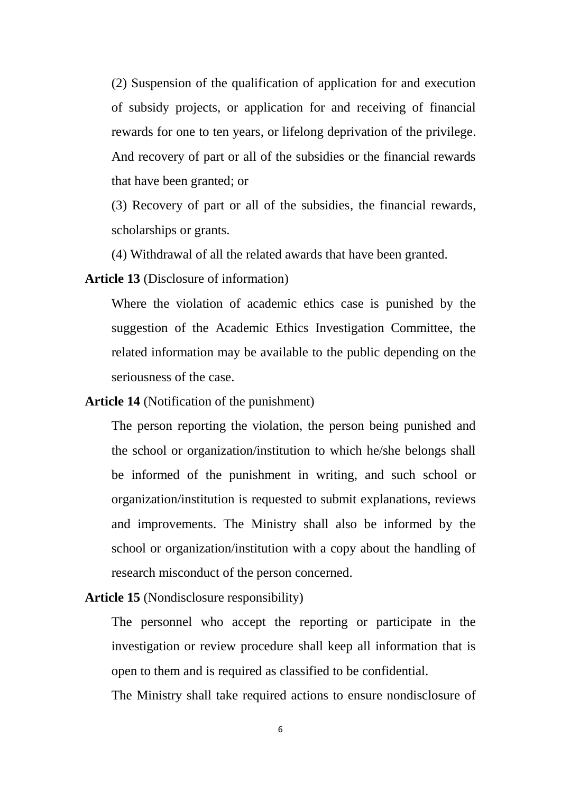(2) Suspension of the qualification of application for and execution of subsidy projects, or application for and receiving of financial rewards for one to ten years, or lifelong deprivation of the privilege. And recovery of part or all of the subsidies or the financial rewards that have been granted; or

(3) Recovery of part or all of the subsidies, the financial rewards, scholarships or grants.

(4) Withdrawal of all the related awards that have been granted.

**Article 13** (Disclosure of information)

Where the violation of academic ethics case is punished by the suggestion of the Academic Ethics Investigation Committee, the related information may be available to the public depending on the seriousness of the case.

**Article 14** (Notification of the punishment)

The person reporting the violation, the person being punished and the school or organization/institution to which he/she belongs shall be informed of the punishment in writing, and such school or organization/institution is requested to submit explanations, reviews and improvements. The Ministry shall also be informed by the school or organization/institution with a copy about the handling of research misconduct of the person concerned.

**Article 15** (Nondisclosure responsibility)

The personnel who accept the reporting or participate in the investigation or review procedure shall keep all information that is open to them and is required as classified to be confidential.

The Ministry shall take required actions to ensure nondisclosure of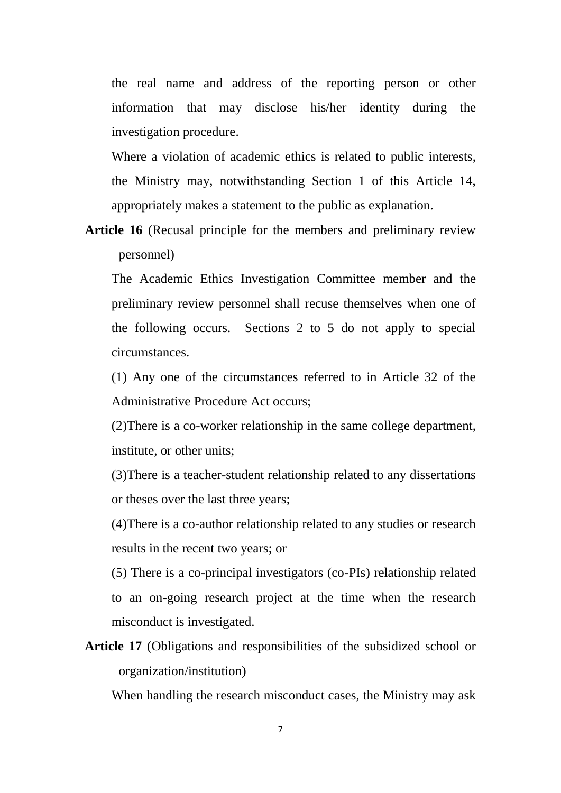the real name and address of the reporting person or other information that may disclose his/her identity during the investigation procedure.

Where a violation of academic ethics is related to public interests, the Ministry may, notwithstanding Section 1 of this Article 14, appropriately makes a statement to the public as explanation.

**Article 16** (Recusal principle for the members and preliminary review personnel)

The Academic Ethics Investigation Committee member and the preliminary review personnel shall recuse themselves when one of the following occurs. Sections 2 to 5 do not apply to special circumstances.

(1) Any one of the circumstances referred to in Article 32 of the Administrative Procedure Act occurs;

(2)There is a co-worker relationship in the same college department, institute, or other units;

(3)There is a teacher-student relationship related to any dissertations or theses over the last three years;

(4)There is a co-author relationship related to any studies or research results in the recent two years; or

(5) There is a co-principal investigators (co-PIs) relationship related to an on-going research project at the time when the research misconduct is investigated.

**Article 17** (Obligations and responsibilities of the subsidized school or organization/institution)

When handling the research misconduct cases, the Ministry may ask